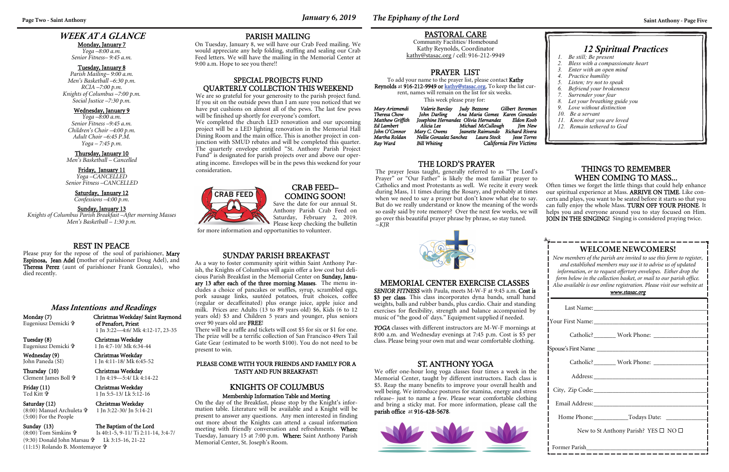# **Page Two - Saint Anthony** *January 6, 2019 The Epiphany of the Lord* **Saint Anthony - Page Five**

# **WEEK AT A GLANCE**

Monday, January 7

*Yoga –8:00 a.m. Senior Fitness– 9:45 a.m.* 

### Tuesday, January 8

*Parish Mailing– 9:00 a.m. Men's Basketball –6:30 p.m. RCIA –7:00 p.m. Knights of Columbus –7:00 p.m. Social Justice –7:30 p.m.* 

### Wednesday, January 9

*Yoga –8:00 a.m. Senior Fitness –9:45 a.m. Children's Choir –4:00 p.m. Adult Choir –6:45 P.M. Yoga – 7:45 p.m.* 

### Thursday, January 10

*Men's Basketball – Cancelled* 

### Friday, January 11 *Yoga –CANCELLED*

| Catholic? _________ Work Phone: ______________       |  |  |
|------------------------------------------------------|--|--|
|                                                      |  |  |
|                                                      |  |  |
|                                                      |  |  |
|                                                      |  |  |
|                                                      |  |  |
|                                                      |  |  |
| New to St Anthony Parish? YES $\square$ NO $\square$ |  |  |
|                                                      |  |  |

*Senior Fitness –CANCELLED* 

### Saturday, January 12 *Confessions –4:00 p.m.*

### Sunday, January 13

*Knights of Columbus Parish Breakfast –After morning Masses Men's Basketball – 1:30 p.m.* 

# **WELCOME NEWCOMERS!**

*New members of the parish are invited to use this form to register, and established members may use it to advise us of updated information, or to request offertory envelopes. Either drop the form below in the collection basket, or mail to our parish office. Also available is our online registration. Please visit our website at* 

Please pray for the repose of the soul of parishioner, Mary Espinosa, Jean Adel (mother of parishioner Doug Adel), and Theresa Perez (aunt of parishioner Frank Gonzales), who died recently.

### *www.stasac.org*

Friday (11) Christmas Weekday Ted Kitt

 1 Jn 3:22-30/ Jn 5:14-21 Sunday (13) The Baptism of the Lord

### REST IN PEACE

YOGA classes with different instructors are M-W-F mornings at 8:00 a.m. and Wednesday evenings at 7:45 p.m. Cost is \$5 per class. Please bring your own mat and wear comfortable clothing.

# *12 Spiritual Practices*

- *1. Be still; Be present*
- *2. Bless with a compassionate heart*
- *3. Enter with an open mind*
- *4. Practice humility*
- *5. Listen; try not to speak*
- *6. Befriend your brokenness*
- *7. Surrender your fear*
- *8. Let your breathing guide you*
- *9. Love without distinction*
- *10. Be a servant*
- *11. Know that you are loved*
- *12. Remain tethered to God*

### **Mass Intentions and Readings**

Eugeniusz Demicki

Monday (7) Christmas Weekday/ Saint Raymond of Penafort, Priest 1 Jn 3:22—4:6/ Mk 4:12-17, 23-35

Tuesday (8) Christmas Weekday Eugeniusz Demicki

1 Jn 4:7-10/ Mk 6:34-44

### Wednesday (9) Christmas Weekday John Paneda (SI) 1 Jn 4:11-18/ Mk 6:45-52

Thursday (10) Christmas Weekday Clement James Boll

1 Jn 4:19—5:4/ Lk 4:14-22

1 Jn 5:5-13/ Lk 5:12-16

### Saturday (12) Christmas Weekday (8:00) Manuel Archuleta (5:00) For the People

To add your name to the prayer list, please contact Kathy Reynolds at 916-212-9949 or kathy@stasac.org. To keep the list current, names will remain on the list for six weeks.

Is 40:1-5, 9-11/ Ti 2:11-14, 3:4-7/

(8:00) Tom Simkins (9:30) Donald John Marsau Lk 3:15-16, 21-22 (11:15) Rolando B. Montemayor

### MEMORIAL CENTER EXERCISE CLASSES

*SENIOR FITNESS* with Paula, meets M-W-F at 9:45 a.m. Cost is \$3 per class. This class incorporates dyna bands, small hand weights, balls and rubber bands, plus cardio. Chair and standing exercises for flexibility, strength and balance accompanied by music of "the good ol' days." Equipment supplied if needed.

# THINGS TO REMEMBER

We are so grateful for your generosity to the parish project fund. If you sit on the outside pews than I am sure you noticed that we have put cushions on almost all of the pews. The last few pews will be finished up shortly for everyone's comfort.

# PASTORAL CARE

Community Facilities/ Homebound Kathy Reynolds, Coordinator kathy@stasac.org / cell: 916-212-9949

### THE LORD'S PRAYER

WHEN COMING TO MASS... Often times we forget the little things that could help enhance our spiritual experience at Mass. ARRIVE ON TIME. Like concerts and plays, you want to be seated before it starts so that you can fully enjoy the whole Mass. TURN OFF YOUR PHONE. It helps you and everyone around you to stay focused on Him. JOIN IN THE SINGING! Singing is considered praying twice. The prayer Jesus taught, generally referred to as "The Lord's Prayer" or "Our Father" is likely the most familiar prayer to Catholics and most Protestants as well. We recite it every week during Mass, 11 times during the Rosary, and probably at times when we need to say a prayer but don't know what else to say. But do we really understand or know the meaning of the words so easily said by rote memory? Over the next few weeks, we will go over this beautiful prayer phrase by phrase, so stay tuned. <sup>~</sup>*KJR*



We completed the church LED renovation and our upcoming project will be a LED lighting renovation in the Memorial Hall Dining Room and the main office. This is another project in conjunction with SMUD rebates and will be completed this quarter. The quarterly envelope entitled "St. Anthony Parish Project Fund" is designated for parish projects over and above our operating income. Envelopes will be in the pews this weekend for your consideration.



### ST. ANTHONY YOGA

We offer one-hour long yoga classes four times a week in the Memorial Center, taught by different instructors. Each class is \$5. Reap the many benefits to improve your overall health and well being. We introduce postures for stamina, energy and stress release– just to name a few. Please wear comfortable clothing and bring a sticky mat. For more information, please call the parish office at 916-428-5678.



### CRAB FEED– COMING SOON!

Save the date for our annual St. Anthony Parish Crab Feed on Saturday, February 2, 2019. Please keep checking the bulletin

for more information and opportunities to volunteer.

### PARISH MAILING

On Tuesday, January 8, we will have our Crab Feed mailing. We would appreciate any help folding, stuffing and sealing our Crab Feed letters. We will have the mailing in the Memorial Center at 9:00 a.m. Hope to see you there!!

### PRAYER LIST

This week please pray for:

| Mary Arizmendi   | Valerie Barclay     | Judy Bezzone     Gilbert Boreman                |                         |
|------------------|---------------------|-------------------------------------------------|-------------------------|
| Theresa Chow     | John Darling        | Ana Maria Gomez Karen Gonzales                  |                         |
| Matthew Griffith |                     | Josephine Hernandez Olivia Hernandez Eldon Koob |                         |
| Ed Lambert       | Alicia Lee          | Michael McCullough                              | Iim New                 |
| John O'Connor    | Mary C. Owens       | Jeanette Raimundo Richard Rivera                |                         |
| Martha Roldan    |                     | Nellie Gonzalez Sanchez Laura Stock             | Iesse Torres            |
| Ray Ward         | <b>Bill Whiting</b> |                                                 | California Fire Victims |

### SUNDAY PARISH BREAKFAST

As a way to foster community spirit within Saint Anthony Parish, the Knights of Columbus will again offer a low cost but delicious Parish Breakfast in the Memorial Center on Sunday, January <sup>13</sup> after each of the three morning Masses. The menu includes a choice of pancakes or waffles, syrup, scrambled eggs, pork sausage links, sautéed potatoes, fruit choices, coffee (regular or decaffeinated) plus orange juice, apple juice and milk. Prices are: Adults (13 to 89 years old) \$6, Kids (6 to 12 years old) \$3 and Children 5 years and younger, plus seniors over 90 years old are FREE!

There will be a raffle and tickets will cost \$5 for six or \$1 for one. The prize will be a terrific collection of San Francisco 49ers Tail Gate Gear (estimated to be worth \$100). You do not need to be present to win.

### PLEASE COME WITH YOUR FRIENDS AND FAMILY FOR A TASTY AND FUN BREAKFAST!

# KNIGHTS OF COLUMBUS

### Membership Information Table and Meeting

On the day of the Breakfast, please stop by the Knight's information table. Literature will be available and a Knight will be present to answer any questions. Any men interested in finding out more about the Knights can attend a casual information meeting with friendly conversation and refreshments. When: Tuesday, January 15 at 7:00 p.m. Where: Saint Anthony Parish Memorial Center, St. Joseph's Room.

### SPECIAL PROJECTS FUND QUARTERLY COLLECTION THIS WEEKEND